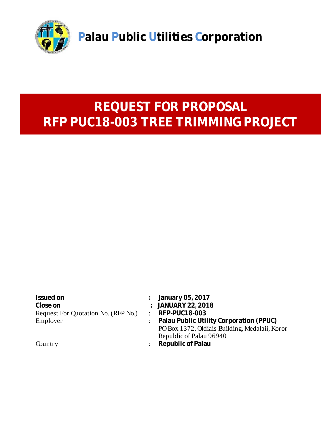

# **REQUEST FOR PROPOSAL RFP PUC18-003 TREE TRIMMING PROJECT**

| Issued on                           | : January 05, 2017                             |
|-------------------------------------|------------------------------------------------|
| Close on                            | : JANUARY 22, 2018                             |
| Request For Quotation No. (RFP No.) | $:$ RFP-PUC18-003                              |
| Employer                            | : Palau Public Utility Corporation (PPUC)      |
|                                     | PO Box 1372, Oldiais Building, Medalaii, Koror |
|                                     | Republic of Palau 96940                        |
| Country                             | Republic of Palau                              |
|                                     |                                                |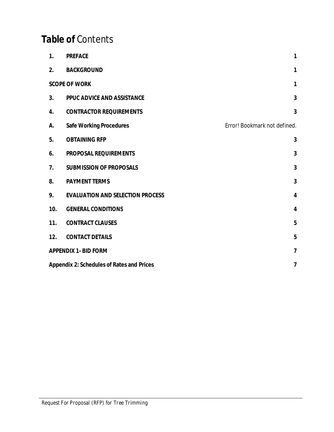## **Table of** Contents

| 1.                                             | <b>PREFACE</b>                          | $\mathbf{1}$                 |  |  |
|------------------------------------------------|-----------------------------------------|------------------------------|--|--|
| 2.                                             | <b>BACKGROUND</b>                       | 1                            |  |  |
|                                                | <b>SCOPE OF WORK</b>                    | $\mathbf{1}$                 |  |  |
| 3.                                             | PPUC ADVICE AND ASSISTANCE              | 3                            |  |  |
| 4.                                             | <b>CONTRACTOR REQUIREMENTS</b>          | 3                            |  |  |
| А.                                             | Safe Working Procedures                 | Error! Bookmark not defined. |  |  |
| 5.                                             | <b>OBTAINING RFP</b>                    | 3                            |  |  |
| 6.                                             | PROPOSAL REQUIREMENTS                   | 3                            |  |  |
| 7.                                             | <b>SUBMISSION OF PROPOSALS</b>          | 3                            |  |  |
| 8.                                             | PAYMENT TERMS                           | 3                            |  |  |
| 9.                                             | <b>EVALUATION AND SELECTION PROCESS</b> | 4                            |  |  |
| 10.                                            | <b>GENERAL CONDITIONS</b>               | 4                            |  |  |
| 11.                                            | <b>CONTRACT CLAUSES</b>                 | 5                            |  |  |
| 12.                                            | <b>CONTACT DETAILS</b>                  | 5                            |  |  |
|                                                | <b>APPENDIX 1- BID FORM</b>             | $\overline{7}$               |  |  |
| Appendix 2: Schedules of Rates and Prices<br>7 |                                         |                              |  |  |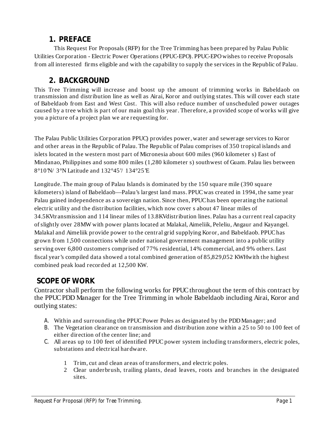#### **1. PREFACE**

This Request For Proposals (RFP) for the Tree Trimming has been prepared by Palau Public Utilities Corporation - Electric Power Operations (PPUC-EPO). PPUC-EPO wishes to receive Proposals from all interested firms eligible and with the capability to supply the services in the Republic of Palau.

## **2. BACKGROUND**

This Tree Trimming will increase and boost up the amount of trimming works in Babeldaob on transmission and distribution line as well as Airai, Koror and outlying states. This will cover each state of Babeldaob from East and West Cost. This will also reduce number of unscheduled power outages caused by a tree which is part of our main goal this year. Therefore, a provided scope of works will give you a picture of a project plan we are requesting for.

The Palau Public Utilities Corporation PPUC) provides power,water and sewerage services to Koror and other areas in the Republic of Palau. The Republic of Palau comprises of 350 tropical islands and islets located in the western most part of Micronesia about 600 miles (960 kilometer s) East of Mindanao, Philippines and some 800 miles (1,280 kilometer s) southwest of Guam. Palau lies between 8°10'N/ 3°N Latitude and 132°45'/ 134°25'E

Longitude. The main group of Palau Islands is dominated by the 150 square mile (390 square kilometers) island of Babeldaob—Palau's largest land mass. PPUCwas created in 1994, the same year Palau gained independence as a sovereign nation. Since then, PPUChas been operating the national electric utility and the distribution facilities, which now cover s about 47 linear miles of 34.5KVtransmission and 114 linear miles of 13.8KVdistribution lines. Palau has a current real capacity ofslightly over 28MW with power plants located at Malakal, Aimeliik, Peleliu, Angaur and Kayangel. Malakal and Aimeliik provide power to the central grid supplying Koror, and Babeldaob. PPUChas grown from 1,500 connections while under national government management into a public utility serving over 6,800 customers comprised of 77% residential, 14% commercial, and 9% others. Last fiscal year's compiled data showed a total combined generation of 85,829,052 KWHwith the highest combined peak load recorded at 12,500 KW.

#### **SCOPE OF WORK**

Contractor shall perform the following works for PPUC throughout the term of this contract by the PPUCPDD Manager for the Tree Trimming in whole Babeldaob including Airai, Koror and outlying states:

- A. Within and surrounding the PPUC Power Poles as designated by the PDD Manager; and
- B. The Vegetation clearance on transmission and distribution zone within a 25 to 50 to 100 feet of either direction of the center line; and
- C. All areas up to 100 feet of identified PPUC power system including transformers, electric poles, substations and electrical hardware.
	- 1 Trim, cut and clean areas of transformers, and electric poles.
	- 2 Clear underbrush, trailing plants, dead leaves, roots and branches in the designated sites.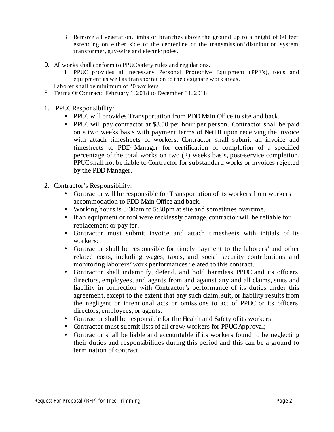- 3 Remove all vegetation, limbs or branches above the ground up to a height of 60 feet, extending on either side of the centerline of the transmission/ distribution system, transformer, guy-wire and electric poles.
- All works shall conform to PPUCsafety rules and regulations. D.
	- 1 PPUC provides all necessary Personal Protective Equipment (PPE's), tools and equipment as well as transportation to the designate work areas.
- Laborer shall be minimum of 20 workers. E.
- F. Terms Of Contract: February 1, 2018 to December 31, 2018
- 1. PPUC Responsibility:
	- PPUC will provides Transportation from PDD Main Office to site and back.
	- PPUC will pay contractor at \$3.50 per hour per person. Contractor shall be paid on a two weeks basis with payment terms of Net10 upon receiving the invoice with attach timesheets of workers. Contractor shall submit an invoice and timesheets to PDD Manager for certification of completion of a specified percentage of the total works on two (2) weeks basis, post-service completion. PPUCshall not be liable to Contractor for substandard works or invoices rejected by the PDD Manager.
- 2. Contractor's Responsibility:
	- Contractor will be responsible for Transportation of its workers from workers accommodation to PDD Main Office and back.
	- Working hours is 8:30am to 5:30pm at site and sometimes overtime.
	- If an equipment or tool were recklessly damage, contractor will be reliable for replacement or pay for.
	- Contractor must submit invoice and attach timesheets with initials of its workers;
	- Contractor shall be responsible for timely payment to the laborers' and other related costs, including wages, taxes, and social security contributions and monitoring laborers'work performances related to this contract.
	- Contractor shall indemnify, defend, and hold harmless PPUC and its officers, directors, employees, and agents from and against any and all claims, suits and liability in connection with Contractor's performance of its duties under this agreement, except to the extent that any such claim, suit, or liability results from the negligent or intentional acts or omissions to act of PPUC or its officers, directors, employees, or agents.
	- Contractor shall be responsible for the Health and Safety of its workers.
	- Contractor must submit lists of all crew/workers for PPUC Approval;
	- Contractor shall be liable and accountable if its workers found to be neglecting their duties and responsibilities during this period and this can be a ground to termination of contract.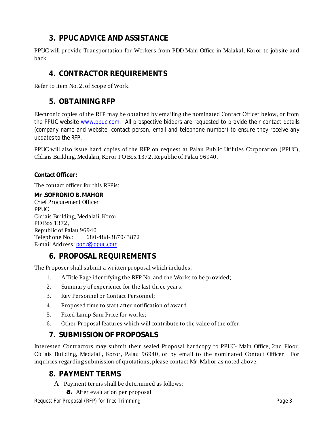## **3. PPUC ADVICE AND ASSISTANCE**

PPUC will provide Transportation for Workers from PDD Main Office in Malakal, Koror to jobsite and back.

#### **4. CONTRACTOR REQUIREMENTS**

Refer to Item No. 2, of Scope of Work.

#### **5. OBTAINING RFP**

Electronic copies of the RFP may be obtained by emailing the nominated Contact Officer below, or from the PPUC website www.ppuc.com. All prospective bidders are requested to provide their contact details (company name and website, contact person, email and telephone number) to ensure they receive any updates to the RFP.

PPUC will also issue hard copies of the RFP on request at Palau Public Utilities Corporation (PPUC), Oldiais Building, Medalaii, Koror PO Box 1372, Republic of Palau 96940.

**Contact Officer:**

The contact officer for this RFPis:

*Chief Procurement Officer* **Mr .SOFRONIO B. MAHOR** PPUC. Oldiais Building, Medalaii, Koror PO Box 1372, Republic of Palau 96940 Telephone No.: 680-488-3870/ 3872 E-mail Address: ponz@ppuc.com

## **6. PROPOSAL REQUIREMENTS**

The Proposer shall submit a written proposal which includes:

- 1. ATitle Page identifying the RFP No. and the Works to be provided;
- 2. Summary of experience for the last three years.
- 3. Key Personnel or Contact Personnel;
- 4. Proposed time to start after notification of award
- 5. Fixed Lump Sum Price for works;
- 6. Other Proposal features which will contribute to the value of the offer.

#### **7. SUBMISSION OF PROPOSALS**

Interested Contractors may submit their sealed Proposal hardcopy to PPUC- Main Office, 2nd Floor, Oldiais Building, Medalaii, Koror, Palau 96940, or by email to the nominated Contact Officer. For inquiries regarding submission of quotations, please contact Mr.Mahor as noted above.

#### **8. PAYMENT TERMS**

- A. Payment terms shall be determined as follows:
	- **a.** After evaluation per proposal

*Request For Proposal (RFP) for Tree Trimming. Page 3*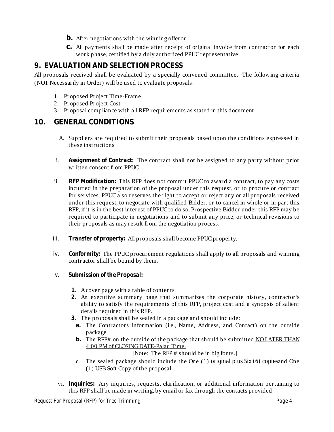- **b.** After negotiations with the winning offeror.
- **c.** All payments shall be made after receipt of original invoice from contractor for each work phase, certified by a duly authorized PPUCrepresentative

## **9. EVALUATION AND SELECTION PROCESS**

All proposals received shall be evaluated by a specially convened committee. The following criteria (NOT Necessarily in Order) will be used to evaluate proposals:

- 1. Proposed Project Time-Frame
- 2. Proposed Project Cost
- 3. Proposal compliance with all RFP requirements as stated in this document.

### **10. GENERAL CONDITIONS**

- A. Suppliers are required to submit their proposals based upon the conditions expressed in these instructions
- i. Assignment of Contract: The contract shall not be assigned to any party without prior written consent from PPUC.
- ii. RFP Modification: This RFP does not commit PPUC to award a contract, to pay any costs incurred in the preparation of the proposal under this request, or to procure or contract for services. PPUCalso reserves the right to accept or reject any or all proposals received under this request, to negotiate with qualified Bidder, or to cancel in whole or in part this RFP, if it is in the best interest of PPUCto do so. Prospective Bidder under this RFP may be required to participate in negotiations and to submit any price, or technical revisions to their proposals as may result from the negotiation process.
- *iii.* Transfer of property: All proposals shall become PPUC property.
- *iv.* Conformity: The PPUC procurement regulations shall apply to all proposals and winning contractor shall be bound by them.
- *v. Submission of the Proposal:*
	- **1.** Acover page with a table of contents
	- **2.** An executive summary page that summarizes the corporate history, contractor's ability to satisfy the requirements of this RFP, project cost and a synopsis of salient details required in this RFP.
	- **3.** The proposals shall be sealed in a package and should include:
		- **a.** The Contractors information (i.e., Name, Address, and Contact) on the outside package
		- b. The RFP# on the outside of the package that should be submitted NO LATER THAN 4:00 PM of CLOSINGDATE-Palau Time.

[Note: The RFP # should be in big fonts.]

- c. The sealed package should include the One (1) original plus Six (6) copiesand One (1) USBSoft Copy of the proposal.
- vi. Inquiries: Any inquiries, requests, clarification, or additional information pertaining to this RFP shall be made in writing, by email or fax through the contacts provided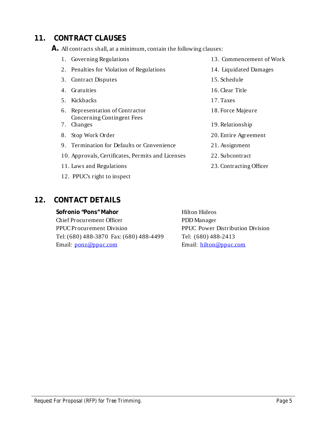## **11. CONTRACT CLAUSES**

**A.** All contracts shall, at a minimum, contain the following clauses:

| 1. Governing Regulations                          | 13. Commencement of Work |
|---------------------------------------------------|--------------------------|
| 2. Penalties for Violation of Regulations         | 14. Liquidated Damages   |
| <b>Contract Disputes</b><br>3.                    | 15. Schedule             |
| Gratuities<br>4.                                  | 16. Clear Title          |
| 5. Kickbacks                                      | 17. Taxes                |
| 6. Representation of Contractor                   | 18. Force Majeure        |
| Concerning Contingent Fees                        |                          |
| Changes<br>7.                                     | 19. Relationship         |
| Stop Work Order<br>8.                             | 20. Entire Agreement     |
| 9. Termination for Defaults or Convenience        | 21. Assignment           |
| 10. Approvals, Certificates, Permits and Licenses | 22. Subcontract          |
| 11. Laws and Regulations                          | 23. Contracting Officer  |
| 12. PPUC's right to inspect                       |                          |

## **12. CONTACT DETAILS**

**Sofronio "Pons" Mahor** Chief Procurement Officer PPUCProcurement Division Tel: (680) 488-3870 Fax: (680) 488-4499 Email: ponz@ppuc.com

Hilton Hideos PDDManager PPUC Power Distribution Division Tel: (680) 488-2413 Email: hilton@ppuc.com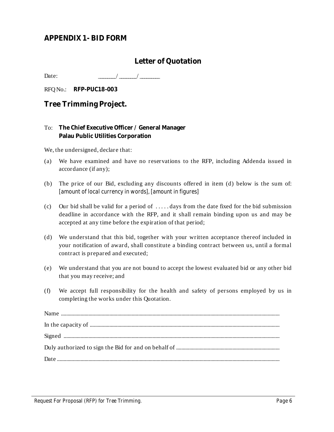#### **APPENDIX 1- BID FORM**

## **Letter of Quotation**

Date:  $\frac{\frac{1}{2} \left| \frac{1}{2} \right| \left| \frac{1}{2} \right|}{\frac{1}{2} \left| \frac{1}{2} \right| \left| \frac{1}{2} \right| \left| \frac{1}{2} \right| \left| \frac{1}{2} \right| \left| \frac{1}{2} \right| \left| \frac{1}{2} \right| \left| \frac{1}{2} \right| \left| \frac{1}{2} \right| \left| \frac{1}{2} \right| \left| \frac{1}{2} \right| \left| \frac{1}{2} \right| \left| \frac{1}{2} \right| \left| \frac{1}{2} \right| \left$ 

RFQ No.: RFP-PUC18-003

**Tree Trimming Project.**

**The Chief Executive Officer / General Manager** To: **Palau Public Utilities Corporation**

We, the undersigned, declare that:

- (a) We have examined and have no reservations to the RFP, including Addenda issued in accordance (if any);
- *[amount of local currency in words], [amount in figures]* (b) The price of our Bid, excluding any discounts offered in item (d) below is the sum of:
- (c) Our bid shall be valid for a period of  $\dots$  days from the date fixed for the bid submission deadline in accordance with the RFP, and it shall remain binding upon us and may be accepted at any time before the expiration of that period;
- (d) We understand that this bid, together with your written acceptance thereof included in your notification of award, shall constitute a binding contract between us, until a formal contract is prepared and executed;
- (e) We understand that you are not bound to accept the lowest evaluated bid or any other bid that you may receive; and
- (f) We accept full responsibility for the health and safety of persons employed by us in completing the works under this Quotation.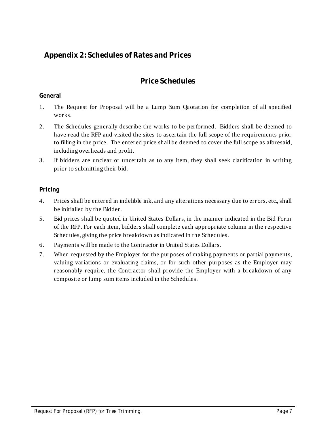## **Appendix 2: Schedules of Rates and Prices**

## **Price Schedules**

#### **General**

- 1. The Request for Proposal will be a Lump Sum Quotation for completion of all specified works.
- 2. The Schedules generally describe the works to be performed. Bidders shall be deemed to have read the RFP and visited the sites to ascertain the full scope of the requirements prior to filling in the price. The entered price shall be deemed to cover the full scope as aforesaid, including overheads and profit.
- 3. If bidders are unclear or uncertain as to any item, they shall seek clarification in writing prior to submitting their bid.

#### **Pricing**

- 4. Prices shall be entered in indelible ink, and any alterations necessary due to errors, etc., shall be initialled by the Bidder.
- 5. Bid prices shall be quoted in United States Dollars, in the manner indicated in the Bid Form of the RFP. For each item, bidders shall complete each appropriate column in the respective Schedules, giving the price breakdown as indicated in the Schedules.
- 6. Payments will be made to the Contractor in United States Dollars.
- 7. When requested by the Employer for the purposes of making payments or partial payments, valuing variations or evaluating claims, or for such other purposes as the Employer may reasonably require, the Contractor shall provide the Employer with a breakdown of any composite or lump sum items included in the Schedules.